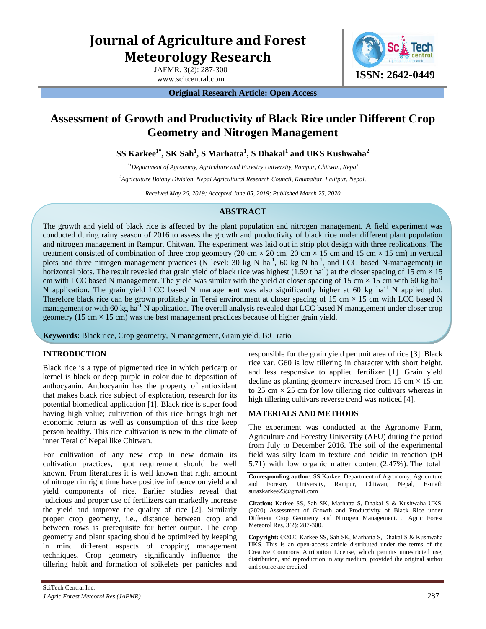# **Journal of Agriculture and Forest Meteorology Research**

JAFMR, 3(2): 287-300



**Original Research Article: Open Access** 

# **Assessment of Growth and Productivity of Black Rice under Different Crop Geometry and Nitrogen Management**

**SS Karkee1\*, SK Sah<sup>1</sup> , S Marhatta<sup>1</sup> , S Dhakal<sup>1</sup> and UKS Kushwaha<sup>2</sup>**

*\*1Department of Agronomy, Agriculture and Forestry University, Rampur, Chitwan, Nepal* 

*<sup>2</sup>Agriculture Botany Division, Nepal Agricultural Research Council, Khumaltar, Lalitpur, Nepal.*

*Received May 26, 2019; Accepted June 05, 2019; Published March 25, 2020*

## **ABSTRACT**

The growth and yield of black rice is affected by the plant population and nitrogen management. A field experiment was conducted during rainy season of 2016 to assess the growth and productivity of black rice under different plant population and nitrogen management in Rampur, Chitwan. The experiment was laid out in strip plot design with three replications. The treatment consisted of combination of three crop geometry (20 cm  $\times$  20 cm  $\times$  15 cm  $\times$  15 cm  $\times$  15 cm) in vertical plots and three nitrogen management practices (N level: 30 kg N ha<sup>-1</sup>, 60 kg N ha<sup>-1</sup>, and LCC based N-management) in horizontal plots. The result revealed that grain yield of black rice was highest (1.59 t ha<sup>-1</sup>) at the closer spacing of 15 cm  $\times$  15 cm with LCC based N management. The yield was similar with the yield at closer spacing of 15 cm  $\times$  15 cm with 60 kg ha<sup>-1</sup> N application. The grain yield LCC based N management was also significantly higher at 60 kg ha<sup>-1</sup> N applied plot. Therefore black rice can be grown profitably in Terai environment at closer spacing of 15 cm  $\times$  15 cm with LCC based N management or with 60 kg ha<sup>-1</sup> N application. The overall analysis revealed that LCC based N management under closer crop geometry (15 cm  $\times$  15 cm) was the best management practices because of higher grain yield.

**Keywords:** Black rice, Crop geometry, N management, Grain yield, B:C ratio

## **INTRODUCTION**

Black rice is a type of pigmented rice in which pericarp or kernel is black or deep purple in color due to deposition of anthocyanin. Anthocyanin has the property of antioxidant that makes black rice subject of exploration, research for its potential biomedical application [1]. Black rice is super food having high value; cultivation of this rice brings high net economic return as well as consumption of this rice keep person healthy. This rice cultivation is new in the climate of inner Terai of Nepal like Chitwan.

For cultivation of any new crop in new domain its cultivation practices, input requirement should be well known. From literatures it is well known that right amount of nitrogen in right time have positive influence on yield and yield components of rice. Earlier studies reveal that judicious and proper use of fertilizers can markedly increase the yield and improve the quality of rice [2]. Similarly proper crop geometry, i.e., distance between crop and between rows is prerequisite for better output. The crop geometry and plant spacing should be optimized by keeping in mind different aspects of cropping management techniques. Crop geometry significantly influence the tillering habit and formation of spikelets per panicles and

responsible for the grain yield per unit area of rice [3]. Black rice var. G60 is low tillering in character with short height, and less responsive to applied fertilizer [1]. Grain yield decline as planting geometry increased from 15 cm  $\times$  15 cm to 25 cm  $\times$  25 cm for low tillering rice cultivars whereas in high tillering cultivars reverse trend was noticed [4].

#### **MATERIALS AND METHODS**

The experiment was conducted at the Agronomy Farm, Agriculture and Forestry University (AFU) during the period from July to December 2016. The soil of the experimental field was silty loam in texture and acidic in reaction (pH 5.71) with low organic matter content (2.47%). The total

**Corresponding author**: SS Karkee, Department of Agronomy, Agriculture and Forestry University, Rampur, Chitwan, Nepal, E-mail: surazkarkee23@gmail.com

**Citation:** Karkee SS, Sah SK, Marhatta S, Dhakal S & Kushwaha UKS. (2020) Assessment of Growth and Productivity of Black Rice under Different Crop Geometry and Nitrogen Management. J Agric Forest Meteorol Res, 3(2): 287-300.

**Copyright:** ©2020 Karkee SS, Sah SK, Marhatta S, Dhakal S & Kushwaha UKS. This is an open-access article distributed under the terms of the Creative Commons Attribution License, which permits unrestricted use, distribution, and reproduction in any medium, provided the original author and source are credited.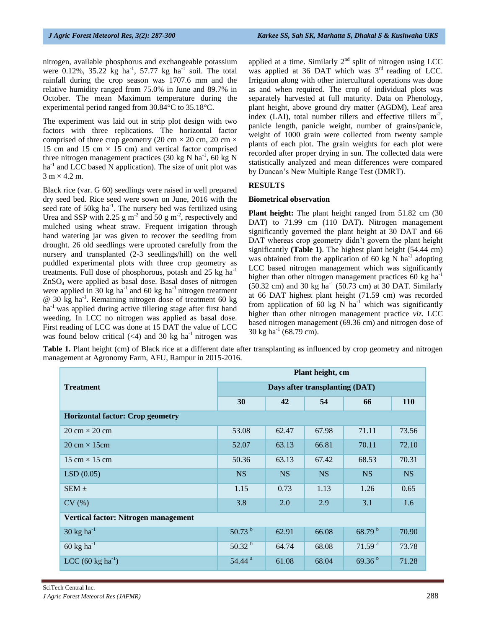nitrogen, available phosphorus and exchangeable potassium were 0.12%, 35.22 kg ha<sup>-1</sup>, 57.77 kg ha<sup>-1</sup> soil. The total rainfall during the crop season was 1707.6 mm and the relative humidity ranged from 75.0% in June and 89.7% in October. The mean Maximum temperature during the experimental period ranged from 30.84°C to 35.18°C.

The experiment was laid out in strip plot design with two factors with three replications. The horizontal factor comprised of three crop geometry (20 cm  $\times$  20 cm, 20 cm  $\times$ 15 cm and 15 cm  $\times$  15 cm) and vertical factor comprised three nitrogen management practices (30 kg N ha<sup>-1</sup>, 60 kg N  $ha<sup>-1</sup>$  and LCC based N application). The size of unit plot was  $3 \text{ m} \times 4.2 \text{ m}$ .

Black rice (var. G 60) seedlings were raised in well prepared dry seed bed. Rice seed were sown on June, 2016 with the seed rate of  $50\text{kg}$  ha<sup>-1</sup>. The nursery bed was fertilized using Urea and SSP with 2.25  $\text{g m}^2$  and 50  $\text{g m}^2$ , respectively and mulched using wheat straw. Frequent irrigation through hand watering jar was given to recover the seedling from drought. 26 old seedlings were uprooted carefully from the nursery and transplanted (2-3 seedlings/hill) on the well puddled experimental plots with three crop geometry as treatments. Full dose of phosphorous, potash and  $25 \text{ kg ha}^{-1}$ ZnSO4 were applied as basal dose. Basal doses of nitrogen were applied in 30 kg ha<sup>-1</sup> and 60 kg ha<sup>-1</sup> nitrogen treatment @ 30 kg ha-1. Remaining nitrogen dose of treatment 60 kg ha<sup>-1</sup> was applied during active tillering stage after first hand weeding. In LCC no nitrogen was applied as basal dose. First reading of LCC was done at 15 DAT the value of LCC was found below critical  $(\leq 4)$  and 30 kg ha<sup>-1</sup> nitrogen was

applied at a time. Similarly  $2<sup>nd</sup>$  split of nitrogen using LCC was applied at 36 DAT which was  $3<sup>rd</sup>$  reading of LCC. Irrigation along with other intercultural operations was done as and when required. The crop of individual plots was separately harvested at full maturity. Data on Phenology, plant height, above ground dry matter (AGDM), Leaf area index (LAI), total number tillers and effective tillers  $m^2$ , panicle length, panicle weight, number of grains/panicle, weight of 1000 grain were collected from twenty sample plants of each plot. The grain weights for each plot were recorded after proper drying in sun. The collected data were statistically analyzed and mean differences were compared by Duncan's New Multiple Range Test (DMRT).

#### **RESULTS**

#### **Biometrical observation**

**Plant height:** The plant height ranged from 51.82 cm (30 DAT) to 71.99 cm (110 DAT). Nitrogen management significantly governed the plant height at 30 DAT and 66 DAT whereas crop geometry didn't govern the plant height significantly **(Table 1)**. The highest plant height (54.44 cm) was obtained from the application of 60 kg N  $\text{ha}^{-1}$  adopting LCC based nitrogen management which was significantly higher than other nitrogen management practices 60 kg ha<sup>-1</sup>  $(50.32 \text{ cm})$  and 30 kg ha<sup>-1</sup> (50.73 cm) at 30 DAT. Similarly at 66 DAT highest plant height (71.59 cm) was recorded from application of 60 kg N  $ha^{-1}$  which was significantly higher than other nitrogen management practice *viz.* LCC based nitrogen management (69.36 cm) and nitrogen dose of 30 kg ha-1 (68.79 cm).

Table 1. Plant height (cm) of Black rice at a different date after transplanting as influenced by crop geometry and nitrogen management at Agronomy Farm, AFU, Rampur in 2015-2016.

|                                         | Plant height, cm               |           |           |                    |            |  |
|-----------------------------------------|--------------------------------|-----------|-----------|--------------------|------------|--|
| <b>Treatment</b>                        | Days after transplanting (DAT) |           |           |                    |            |  |
|                                         | 30                             | 42        | 54        | 66                 | <b>110</b> |  |
| <b>Horizontal factor: Crop geometry</b> |                                |           |           |                    |            |  |
| $20 \text{ cm} \times 20 \text{ cm}$    | 53.08                          | 62.47     | 67.98     | 71.11              | 73.56      |  |
| $20 \text{ cm} \times 15 \text{ cm}$    | 52.07                          | 63.13     | 66.81     | 70.11              | 72.10      |  |
| 15 cm $\times$ 15 cm                    | 50.36                          | 63.13     | 67.42     | 68.53              | 70.31      |  |
| LSD(0.05)                               | <b>NS</b>                      | <b>NS</b> | <b>NS</b> | <b>NS</b>          | <b>NS</b>  |  |
| $SEM \pm$                               | 1.15                           | 0.73      | 1.13      | 1.26               | 0.65       |  |
| CV(%)                                   | 3.8                            | 2.0       | 2.9       | 3.1                | 1.6        |  |
| Vertical factor: Nitrogen management    |                                |           |           |                    |            |  |
| $30 \text{ kg} \text{ ha}^{-1}$         | $50.73^{b}$                    | 62.91     | 66.08     | 68.79 b            | 70.90      |  |
| $60 \text{ kg} \text{ ha}^{-1}$         | 50.32 <sup>b</sup>             | 64.74     | 68.08     | 71.59 <sup>a</sup> | 73.78      |  |
| LCC $(60 \text{ kg ha}^{-1})$           | 54.44 <sup>a</sup>             | 61.08     | 68.04     | 69.36 <sup>b</sup> | 71.28      |  |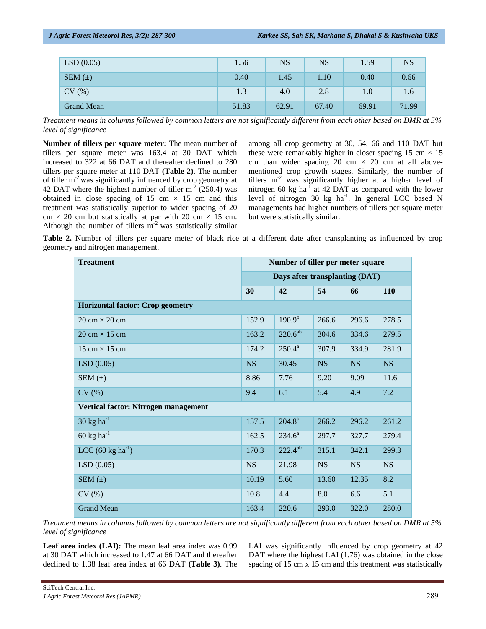| LSD(0.05)         | 1.56  | <b>NS</b> | <b>NS</b> | 1.59  | <b>NS</b> |
|-------------------|-------|-----------|-----------|-------|-----------|
| SEM $(\pm)$       | 0.40  | 1.45      | 1.10      | 0.40  | 0.66      |
| CV(%)             | 1.3   | 4.0       | 2.8       | 1.0   | 1.6       |
| <b>Grand Mean</b> | 51.83 | 62.91     | 67.40     | 69.91 | 71.99     |

*Treatment means in columns followed by common letters are not significantly different from each other based on DMR at 5% level of significance* 

**Number of tillers per square meter:** The mean number of tillers per square meter was 163.4 at 30 DAT which increased to 322 at 66 DAT and thereafter declined to 280 tillers per square meter at 110 DAT **(Table 2)**. The number of tiller  $m<sup>2</sup>$  was significantly influenced by crop geometry at 42 DAT where the highest number of tiller  $m<sup>-2</sup>$  (250.4) was obtained in close spacing of 15 cm  $\times$  15 cm and this treatment was statistically superior to wider spacing of 20 cm  $\times$  20 cm but statistically at par with 20 cm  $\times$  15 cm. Although the number of tillers  $m^{-2}$  was statistically similar

among all crop geometry at 30, 54, 66 and 110 DAT but these were remarkably higher in closer spacing 15 cm  $\times$  15 cm than wider spacing 20 cm  $\times$  20 cm at all abovementioned crop growth stages. Similarly, the number of tillers  $m<sup>2</sup>$  was significantly higher at a higher level of nitrogen 60 kg  $\text{ha}^{-1}$  at 42 DAT as compared with the lower level of nitrogen 30 kg ha<sup>-1</sup>. In general LCC based N managements had higher numbers of tillers per square meter but were statistically similar.

**Table 2.** Number of tillers per square meter of black rice at a different date after transplanting as influenced by crop geometry and nitrogen management.

| <b>Treatment</b>                        | Number of tiller per meter square |                    |           |           |            |
|-----------------------------------------|-----------------------------------|--------------------|-----------|-----------|------------|
|                                         | Days after transplanting (DAT)    |                    |           |           |            |
|                                         | 30                                | 42                 | 54        | 66        | <b>110</b> |
| <b>Horizontal factor: Crop geometry</b> |                                   |                    |           |           |            |
| $20 \text{ cm} \times 20 \text{ cm}$    | 152.9                             | 190.9 <sup>b</sup> | 266.6     | 296.6     | 278.5      |
| $20 \text{ cm} \times 15 \text{ cm}$    | 163.2                             | $220.6^{ab}$       | 304.6     | 334.6     | 279.5      |
| $15 \text{ cm} \times 15 \text{ cm}$    | 174.2                             | $250.4^a$          | 307.9     | 334.9     | 281.9      |
| LSD(0.05)                               | <b>NS</b>                         | 30.45              | <b>NS</b> | <b>NS</b> | <b>NS</b>  |
| SEM $(\pm)$                             | 8.86                              | 7.76               | 9.20      | 9.09      | 11.6       |
| CV(%)                                   | 9.4                               | 6.1                | 5.4       | 4.9       | 7.2        |
| Vertical factor: Nitrogen management    |                                   |                    |           |           |            |
| $30 \text{ kg} \text{ ha}^{-1}$         | 157.5                             | $204.8^{b}$        | 266.2     | 296.2     | 261.2      |
| $60 \text{ kg} \text{ ha}^{-1}$         | 162.5                             | $234.6^a$          | 297.7     | 327.7     | 279.4      |
| LCC $(60 \text{ kg ha}^{-1})$           | 170.3                             | $222.4^{ab}$       | 315.1     | 342.1     | 299.3      |
| LSD(0.05)                               | <b>NS</b>                         | 21.98              | <b>NS</b> | <b>NS</b> | <b>NS</b>  |
| SEM $(\pm)$                             | 10.19                             | 5.60               | 13.60     | 12.35     | 8.2        |
| CV(%)                                   | 10.8                              | 4.4                | 8.0       | 6.6       | 5.1        |
| <b>Grand Mean</b>                       | 163.4                             | 220.6              | 293.0     | 322.0     | 280.0      |

*Treatment means in columns followed by common letters are not significantly different from each other based on DMR at 5% level of significance* 

Leaf area index (LAI): The mean leaf area index was 0.99 at 30 DAT which increased to 1.47 at 66 DAT and thereafter declined to 1.38 leaf area index at 66 DAT **(Table 3)**. The LAI was significantly influenced by crop geometry at 42 DAT where the highest LAI (1.76) was obtained in the close spacing of 15 cm x 15 cm and this treatment was statistically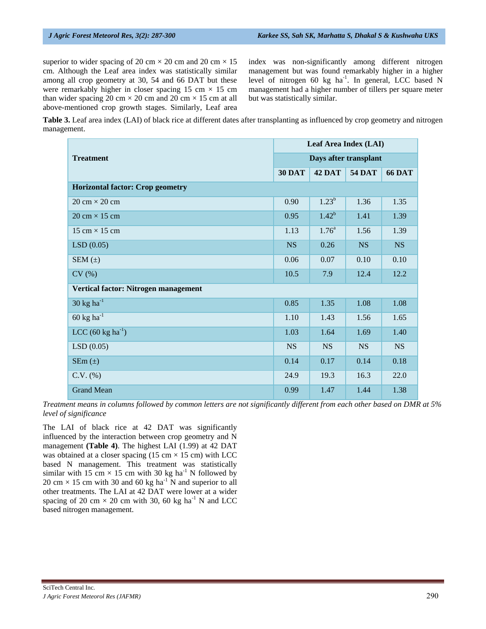superior to wider spacing of 20 cm  $\times$  20 cm and 20 cm  $\times$  15 cm. Although the Leaf area index was statistically similar among all crop geometry at 30, 54 and 66 DAT but these were remarkably higher in closer spacing  $15 \text{ cm} \times 15 \text{ cm}$ than wider spacing 20 cm  $\times$  20 cm and 20 cm  $\times$  15 cm at all above-mentioned crop growth stages. Similarly, Leaf area index was non-significantly among different nitrogen management but was found remarkably higher in a higher level of nitrogen 60 kg ha<sup>-1</sup>. In general, LCC based N management had a higher number of tillers per square meter but was statistically similar.

**Table 3.** Leaf area index (LAI) of black rice at different dates after transplanting as influenced by crop geometry and nitrogen management.

| <b>Treatment</b>                        |               | Leaf Area Index (LAI) |               |               |  |
|-----------------------------------------|---------------|-----------------------|---------------|---------------|--|
|                                         |               | Days after transplant |               |               |  |
|                                         | <b>30 DAT</b> | 42 DAT                | <b>54 DAT</b> | <b>66 DAT</b> |  |
| <b>Horizontal factor: Crop geometry</b> |               |                       |               |               |  |
| $20 \text{ cm} \times 20 \text{ cm}$    | 0.90          | $1.23^{b}$            | 1.36          | 1.35          |  |
| $20 \text{ cm} \times 15 \text{ cm}$    | 0.95          | $1.42^b$              | 1.41          | 1.39          |  |
| 15 cm $\times$ 15 cm                    | 1.13          | $1.76^{\circ}$        | 1.56          | 1.39          |  |
| LSD(0.05)                               | <b>NS</b>     | 0.26                  | <b>NS</b>     | <b>NS</b>     |  |
| SEM $(\pm)$                             | 0.06          | 0.07                  | 0.10          | 0.10          |  |
| CV(%)                                   | 10.5          | 7.9                   | 12.4          | 12.2          |  |
| Vertical factor: Nitrogen management    |               |                       |               |               |  |
| 30 kg ha $^{-1}$                        | 0.85          | 1.35                  | 1.08          | 1.08          |  |
| $60 \text{ kg} \text{ ha}^{-1}$         | 1.10          | 1.43                  | 1.56          | 1.65          |  |
| $LCC (60 kg ha-1)$                      | 1.03          | 1.64                  | 1.69          | 1.40          |  |
| LSD(0.05)                               | <b>NS</b>     | <b>NS</b>             | <b>NS</b>     | <b>NS</b>     |  |
| $SEm(\pm)$                              | 0.14          | 0.17                  | 0.14          | 0.18          |  |
| $C.V.$ (%)                              | 24.9          | 19.3                  | 16.3          | 22.0          |  |
| <b>Grand Mean</b>                       | 0.99          | 1.47                  | 1.44          | 1.38          |  |

*Treatment means in columns followed by common letters are not significantly different from each other based on DMR at 5% level of significance* 

The LAI of black rice at 42 DAT was significantly influenced by the interaction between crop geometry and N management **(Table 4)**. The highest LAI (1.99) at 42 DAT was obtained at a closer spacing  $(15 \text{ cm} \times 15 \text{ cm})$  with LCC based N management. This treatment was statistically similar with 15 cm  $\times$  15 cm with 30 kg ha<sup>-1</sup> N followed by 20 cm  $\times$  15 cm with 30 and 60 kg ha<sup>-1</sup> N and superior to all other treatments. The LAI at 42 DAT were lower at a wider spacing of 20 cm  $\times$  20 cm with 30, 60 kg ha<sup>-1</sup> N and LCC based nitrogen management.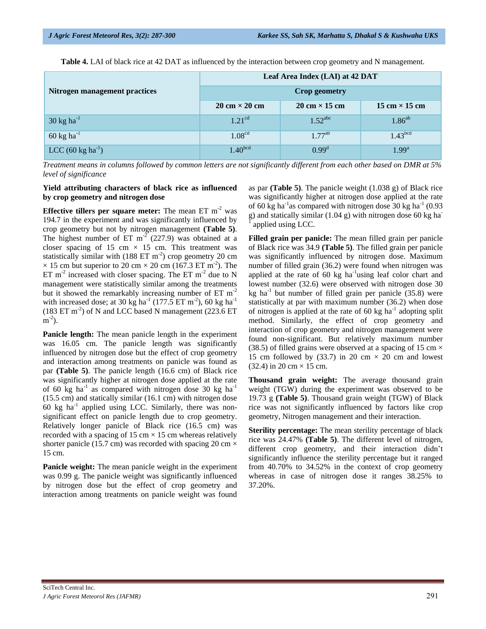**Table 4.** LAI of black rice at 42 DAT as influenced by the interaction between crop geometry and N management.

|                                 | Leaf Area Index (LAI) at 42 DAT                                              |                       |                                      |  |  |
|---------------------------------|------------------------------------------------------------------------------|-----------------------|--------------------------------------|--|--|
| Nitrogen management practices   | <b>Crop geometry</b>                                                         |                       |                                      |  |  |
|                                 | $20 \text{ cm} \times 20 \text{ cm}$<br>$20 \text{ cm} \times 15 \text{ cm}$ |                       | $15 \text{ cm} \times 15 \text{ cm}$ |  |  |
| $30 \text{ kg} \text{ ha}^{-1}$ | 1.21 <sup>cd</sup>                                                           | $1.52$ <sup>abc</sup> | $1.86^{ab}$                          |  |  |
| 60 kg ha <sup>-1</sup>          | 1.08 <sup>cd</sup>                                                           | $1.77^{ab}$           | 1.43 <sup>bcd</sup>                  |  |  |
| $LCC (60 kg ha^{-1})$           | $1.40^{bcd}$                                                                 | $0.99^d$              | $1.99^{\rm a}$                       |  |  |

*Treatment means in columns followed by common letters are not significantly different from each other based on DMR at 5% level of significance* 

#### **Yield attributing characters of black rice as influenced by crop geometry and nitrogen dose**

**Effective tillers per square meter:** The mean ET m<sup>-2</sup> was 194.7 in the experiment and was significantly influenced by crop geometry but not by nitrogen management **(Table 5)**. The highest number of  $ET \text{ m}^2$  (227.9) was obtained at a closer spacing of 15 cm  $\times$  15 cm. This treatment was statistically similar with (188 ET  $m<sup>-2</sup>$ ) crop geometry 20 cm  $\times$  15 cm but superior to 20 cm  $\times$  20 cm (167.3 ET m<sup>-2</sup>). The ET  $m<sup>-2</sup>$  increased with closer spacing. The ET  $m<sup>-2</sup>$  due to N management were statistically similar among the treatments but it showed the remarkably increasing number of ET m<sup>-2</sup> with increased dose; at 30 kg ha<sup>-1</sup> (177.5 ET m<sup>-2</sup>), 60 kg ha<sup>-1</sup>  $(183 \text{ ET m}^{-2})$  of N and LCC based N management  $(223.6 \text{ ET m}^{-2})$  $m^{-2}$ ).

**Panicle length:** The mean panicle length in the experiment was 16.05 cm. The panicle length was significantly influenced by nitrogen dose but the effect of crop geometry and interaction among treatments on panicle was found as par **(Table 5)**. The panicle length (16.6 cm) of Black rice was significantly higher at nitrogen dose applied at the rate of 60 kg ha<sup>-1</sup> as compared with nitrogen dose 30 kg ha<sup>-1</sup> (15.5 cm) and statically similar (16.1 cm) with nitrogen dose 60 kg  $ha^{-1}$  applied using LCC. Similarly, there was nonsignificant effect on panicle length due to crop geometry. Relatively longer panicle of Black rice (16.5 cm) was recorded with a spacing of 15 cm  $\times$  15 cm whereas relatively shorter panicle (15.7 cm) was recorded with spacing 20 cm  $\times$ 15 cm.

**Panicle weight:** The mean panicle weight in the experiment was 0.99 g. The panicle weight was significantly influenced by nitrogen dose but the effect of crop geometry and interaction among treatments on panicle weight was found

as par **(Table 5)**. The panicle weight (1.038 g) of Black rice was significantly higher at nitrogen dose applied at the rate of 60 kg ha<sup>-1</sup>as compared with nitrogen dose 30 kg ha<sup>-1</sup> (0.93) g) and statically similar  $(1.04 \text{ g})$  with nitrogen dose 60 kg ha<sup>1</sup> applied using LCC.

**Filled grain per panicle:** The mean filled grain per panicle of Black rice was 34.9 **(Table 5)**. The filled grain per panicle was significantly influenced by nitrogen dose. Maximum number of filled grain (36.2) were found when nitrogen was applied at the rate of 60 kg ha<sup>-1</sup>using leaf color chart and lowest number (32.6) were observed with nitrogen dose 30 kg ha<sup>-1</sup> but number of filled grain per panicle  $(35.8)$  were statistically at par with maximum number (36.2) when dose of nitrogen is applied at the rate of 60 kg ha<sup>-1</sup> adopting split method. Similarly, the effect of crop geometry and interaction of crop geometry and nitrogen management were found non-significant. But relatively maximum number (38.5) of filled grains were observed at a spacing of 15 cm  $\times$ 15 cm followed by (33.7) in 20 cm  $\times$  20 cm and lowest  $(32.4)$  in 20 cm  $\times$  15 cm.

**Thousand grain weight:** The average thousand grain weight (TGW) during the experiment was observed to be 19.73 g **(Table 5)**. Thousand grain weight (TGW) of Black rice was not significantly influenced by factors like crop geometry, Nitrogen management and their interaction.

**Sterility percentage:** The mean sterility percentage of black rice was 24.47% **(Table 5)**. The different level of nitrogen, different crop geometry, and their interaction didn't significantly influence the sterility percentage but it ranged from 40.70% to 34.52% in the context of crop geometry whereas in case of nitrogen dose it ranges 38.25% to 37.20%.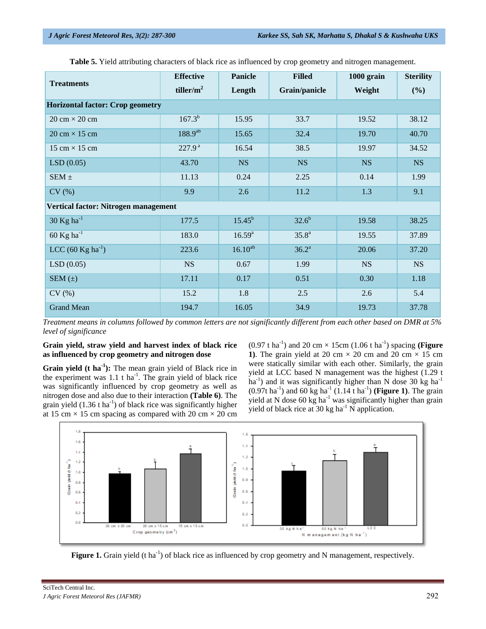| <b>Treatments</b>                       | <b>Effective</b><br>tiller/ $m^2$ | Panicle<br>Length | <b>Filled</b><br>Grain/panicle | 1000 grain<br>Weight | <b>Sterility</b><br>(%) |  |  |
|-----------------------------------------|-----------------------------------|-------------------|--------------------------------|----------------------|-------------------------|--|--|
| <b>Horizontal factor: Crop geometry</b> |                                   |                   |                                |                      |                         |  |  |
| $20 \text{ cm} \times 20 \text{ cm}$    | $167.3^{b}$                       | 15.95             | 33.7                           | 19.52                | 38.12                   |  |  |
| $20 \text{ cm} \times 15 \text{ cm}$    | $188.9^{ab}$                      | 15.65             | 32.4                           | 19.70                | 40.70                   |  |  |
| 15 cm $\times$ 15 cm                    | 227.9 <sup>a</sup>                | 16.54             | 38.5                           | 19.97                | 34.52                   |  |  |
| LSD(0.05)                               | 43.70                             | <b>NS</b>         | <b>NS</b>                      | <b>NS</b>            | <b>NS</b>               |  |  |
| SEM $\pm$                               | 11.13                             | 0.24              | 2.25                           | 0.14                 | 1.99                    |  |  |
| CV(%)                                   | 9.9                               | 2.6               | 11.2                           | 1.3                  | 9.1                     |  |  |
| Vertical factor: Nitrogen management    |                                   |                   |                                |                      |                         |  |  |
| $30$ Kg ha <sup>-1</sup>                | 177.5                             | $15.45^{b}$       | $32.6^{b}$                     | 19.58                | 38.25                   |  |  |
| $60$ Kg ha $^{-1}$                      | 183.0                             | $16.59^{a}$       | $35.8^{a}$                     | 19.55                | 37.89                   |  |  |
| LCC $(60 \text{ Kg ha}^{-1})$           | 223.6                             | $16.10^{ab}$      | $36.2^{\rm a}$                 | 20.06                | 37.20                   |  |  |
| LSD(0.05)                               | <b>NS</b>                         | 0.67              | 1.99                           | <b>NS</b>            | <b>NS</b>               |  |  |
| SEM $(\pm)$                             | 17.11                             | 0.17              | 0.51                           | 0.30                 | 1.18                    |  |  |
| CV(%)                                   | 15.2                              | 1.8               | 2.5                            | 2.6                  | 5.4                     |  |  |
| <b>Grand Mean</b>                       | 194.7                             | 16.05             | 34.9                           | 19.73                | 37.78                   |  |  |

**Table 5.** Yield attributing characters of black rice as influenced by crop geometry and nitrogen management.

*Treatment means in columns followed by common letters are not significantly different from each other based on DMR at 5% level of significance* 

#### **Grain yield, straw yield and harvest index of black rice as influenced by crop geometry and nitrogen dose**

**Grain yield (t ha<sup>1</sup>):** The mean grain yield of Black rice in the experiment was  $1.1$  t ha<sup>-1</sup>. The grain yield of black rice was significantly influenced by crop geometry as well as nitrogen dose and also due to their interaction **(Table 6)**. The grain yield  $(1.36 \text{ t} \text{ ha}^{-1})$  of black rice was significantly higher at 15 cm  $\times$  15 cm spacing as compared with 20 cm  $\times$  20 cm  $(0.97 \text{ t ha}^{-1})$  and 20 cm  $\times$  15cm  $(1.06 \text{ t ha}^{-1})$  spacing **(Figure**) **1**). The grain yield at 20 cm  $\times$  20 cm and 20 cm  $\times$  15 cm were statically similar with each other. Similarly, the grain yield at LCC based N management was the highest (1.29 t ha<sup>-1</sup>) and it was significantly higher than N dose 30 kg ha<sup>-1</sup>  $(0.97t \text{ ha}^{-1})$  and 60 kg ha<sup>-1</sup>  $(1.14 \text{ t} \text{ ha}^{-1})$  (**Figure 1**). The grain yield at N dose  $60 \text{ kg}$  ha<sup>-1</sup> was significantly higher than grain yield of black rice at 30 kg ha<sup>-1</sup> N application.



**Figure 1.** Grain yield (t ha<sup>-1</sup>) of black rice as influenced by crop geometry and N management, respectively.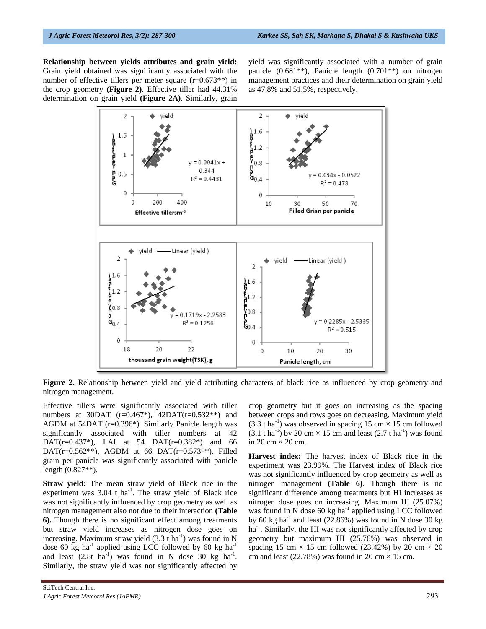**Relationship between yields attributes and grain yield:**  Grain yield obtained was significantly associated with the number of effective tillers per meter square (r=0.673<sup>\*\*)</sup> in the crop geometry **(Figure 2)**. Effective tiller had 44.31% determination on grain yield **(Figure 2A)**. Similarly, grain

yield was significantly associated with a number of grain panicle (0.681\*\*), Panicle length (0.701\*\*) on nitrogen management practices and their determination on grain yield as 47.8% and 51.5%, respectively.



**Figure 2.** Relationship between yield and yield attributing characters of black rice as influenced by crop geometry and nitrogen management.

Effective tillers were significantly associated with tiller numbers at 30DAT ( $r=0.467^*$ ), 42DAT( $r=0.532^{**}$ ) and AGDM at 54DAT (r=0.396\*). Similarly Panicle length was significantly associated with tiller numbers at 42 DAT( $r=0.437^*$ ), LAI at 54 DAT( $r=0.382^*$ ) and 66 DAT( $r=0.562**$ ), AGDM at 66 DAT( $r=0.573**$ ). Filled grain per panicle was significantly associated with panicle length (0.827\*\*).

**Straw yield:** The mean straw yield of Black rice in the experiment was  $3.04$  t ha<sup>-1</sup>. The straw yield of Black rice was not significantly influenced by crop geometry as well as nitrogen management also not due to their interaction **(Table 6).** Though there is no significant effect among treatments but straw yield increases as nitrogen dose goes on increasing. Maximum straw yield  $(3.3 \text{ t} \text{ ha}^{-1})$  was found in N dose 60 kg ha<sup>-1</sup> applied using LCC followed by 60 kg ha<sup>-1</sup> and least  $(2.8t \text{ ha}^{-1})$  was found in N dose 30 kg ha<sup>-1</sup>. Similarly, the straw yield was not significantly affected by

crop geometry but it goes on increasing as the spacing between crops and rows goes on decreasing. Maximum yield  $(3.3 \text{ tha}^{-1})$  was observed in spacing 15 cm  $\times$  15 cm followed  $(3.1 \text{ tha}^{-1})$  by 20 cm  $\times$  15 cm and least  $(2.7 \text{ tha}^{-1})$  was found in 20 cm  $\times$  20 cm.

**Harvest index:** The harvest index of Black rice in the experiment was 23.99%. The Harvest index of Black rice was not significantly influenced by crop geometry as well as nitrogen management **(Table 6)**. Though there is no significant difference among treatments but HI increases as nitrogen dose goes on increasing. Maximum HI (25.07%) was found in N dose  $60 \text{ kg}$  ha<sup>-1</sup> applied using LCC followed by 60 kg ha<sup>-1</sup> and least (22.86%) was found in N dose 30 kg ha<sup>-1</sup>. Similarly, the HI was not significantly affected by crop geometry but maximum HI (25.76%) was observed in spacing 15 cm  $\times$  15 cm followed (23.42%) by 20 cm  $\times$  20 cm and least (22.78%) was found in 20 cm  $\times$  15 cm.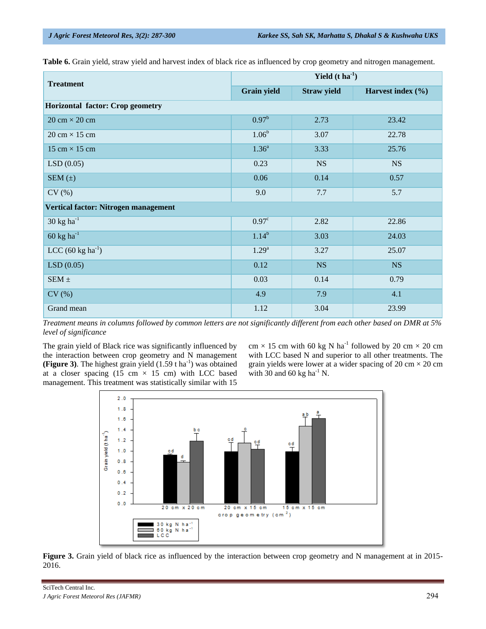**Table 6.** Grain yield, straw yield and harvest index of black rice as influenced by crop geometry and nitrogen management.

| <b>Treatment</b>                     | Yield $(t \, ha^{-1})$ |                    |                       |  |  |  |  |
|--------------------------------------|------------------------|--------------------|-----------------------|--|--|--|--|
|                                      | <b>Grain yield</b>     | <b>Straw yield</b> | Harvest index $(\% )$ |  |  |  |  |
| Horizontal factor: Crop geometry     |                        |                    |                       |  |  |  |  |
| $20 \text{ cm} \times 20 \text{ cm}$ | $0.97^{b}$             | 2.73               | 23.42                 |  |  |  |  |
| $20 \text{ cm} \times 15 \text{ cm}$ | $1.06^{\rm b}$         | 3.07               | 22.78                 |  |  |  |  |
| 15 cm $\times$ 15 cm                 | $1.36^{\circ}$         | 3.33               | 25.76                 |  |  |  |  |
| LSD(0.05)                            | 0.23                   | <b>NS</b>          | <b>NS</b>             |  |  |  |  |
| SEM $(\pm)$                          | 0.06                   | 0.14               | 0.57                  |  |  |  |  |
| CV(%)                                | 9.0                    | 7.7                | 5.7                   |  |  |  |  |
| Vertical factor: Nitrogen management |                        |                    |                       |  |  |  |  |
| $30 \text{ kg} \text{ ha}^{-1}$      | 0.97 <sup>c</sup>      | 2.82               | 22.86                 |  |  |  |  |
| $60 \text{ kg ha}^{-1}$              | $1.14^{b}$             | 3.03               | 24.03                 |  |  |  |  |
| LCC $(60 \text{ kg ha}^{-1})$        | $1.29^{\rm a}$         | 3.27               | 25.07                 |  |  |  |  |
| LSD(0.05)                            | 0.12                   | <b>NS</b>          | NS                    |  |  |  |  |
| SEM $\pm$                            | 0.03                   | 0.14               | 0.79                  |  |  |  |  |
| CV(%)                                | 4.9                    | 7.9                | 4.1                   |  |  |  |  |
| Grand mean                           | 1.12                   | 3.04               | 23.99                 |  |  |  |  |

*Treatment means in columns followed by common letters are not significantly different from each other based on DMR at 5% level of significance* 

The grain yield of Black rice was significantly influenced by the interaction between crop geometry and N management **(Figure 3).** The highest grain yield  $(1.59 \text{ tha}^{-1})$  was obtained at a closer spacing (15 cm  $\times$  15 cm) with LCC based management. This treatment was statistically similar with 15

cm  $\times$  15 cm with 60 kg N ha<sup>-1</sup> followed by 20 cm  $\times$  20 cm with LCC based N and superior to all other treatments. The grain yields were lower at a wider spacing of  $20 \text{ cm} \times 20 \text{ cm}$ with 30 and 60 kg ha<sup>-1</sup> N.



**Figure 3.** Grain yield of black rice as influenced by the interaction between crop geometry and N management at in 2015- 2016.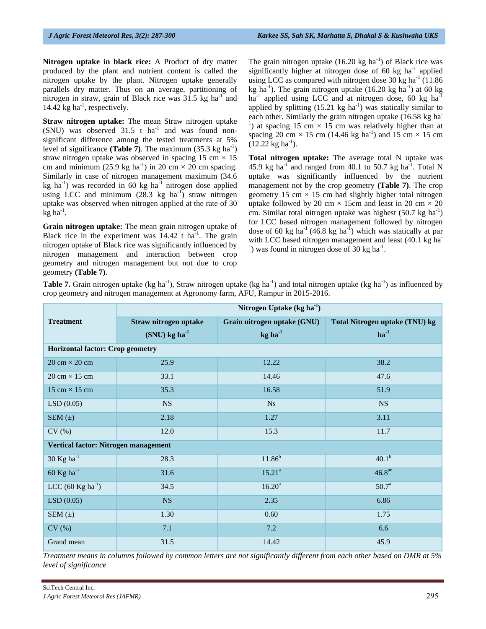**Nitrogen uptake in black rice:** A Product of dry matter produced by the plant and nutrient content is called the nitrogen uptake by the plant. Nitrogen uptake generally parallels dry matter. Thus on an average, partitioning of nitrogen in straw, grain of Black rice was  $31.5 \text{ kg ha}^{-1}$  and 14.42 kg  $ha^{-1}$ , respectively.

**Straw nitrogen uptake:** The mean Straw nitrogen uptake  $(SNU)$  was observed 31.5 t ha<sup>-1</sup> and was found nonsignificant difference among the tested treatments at 5% level of significance (**Table 7**). The maximum  $(35.3 \text{ kg ha}^{-1})$ straw nitrogen uptake was observed in spacing 15 cm  $\times$  15 cm and minimum (25.9 kg ha<sup>-1</sup>) in 20 cm  $\times$  20 cm spacing. Similarly in case of nitrogen management maximum (34.6 kg ha<sup>-1</sup>) was recorded in 60 kg ha<sup>-1</sup> nitrogen dose applied using LCC and minimum  $(28.3 \text{ kg} \text{ ha}^{-1})$  straw nitrogen uptake was observed when nitrogen applied at the rate of 30  $\overline{\text{kg}}$  ha<sup>-1</sup>.

**Grain nitrogen uptake:** The mean grain nitrogen uptake of Black rice in the experiment was  $14.42$  t ha<sup>-1</sup>. The grain nitrogen uptake of Black rice was significantly influenced by nitrogen management and interaction between crop geometry and nitrogen management but not due to crop geometry **(Table 7)**.

The grain nitrogen uptake  $(16.20 \text{ kg ha}^{-1})$  of Black rice was significantly higher at nitrogen dose of 60 kg  $ha^{-1}$  applied using LCC as compared with nitrogen dose 30 kg ha<sup>-1</sup> (11.86) kg ha<sup>-1</sup>). The grain nitrogen uptake  $(16.20 \text{ kg ha}^{-1})$  at 60 kg  $ha^{-1}$  applied using LCC and at nitrogen dose, 60 kg  $ha^{-1}$ applied by splitting  $(15.21 \text{ kg ha}^{-1})$  was statically similar to each other. Similarly the grain nitrogen uptake (16.58 kg ha<sup>-</sup> <sup>1</sup>) at spacing 15 cm  $\times$  15 cm was relatively higher than at spacing 20 cm  $\times$  15 cm (14.46 kg ha<sup>-1</sup>) and 15 cm  $\times$  15 cm  $(12.22 \text{ kg ha}^{-1})$ .

**Total nitrogen uptake:** The average total N uptake was 45.9 kg ha<sup>-1</sup> and ranged from 40.1 to 50.7 kg ha<sup>-1</sup>. Total N uptake was significantly influenced by the nutrient management not by the crop geometry **(Table 7)**. The crop geometry 15 cm  $\times$  15 cm had slightly higher total nitrogen uptake followed by 20 cm  $\times$  15cm and least in 20 cm  $\times$  20 cm. Similar total nitrogen uptake was highest  $(50.7 \text{ kg ha}^{-1})$ for LCC based nitrogen management followed by nitrogen dose of 60 kg ha<sup>-1</sup> (46.8 kg ha<sup>-1</sup>) which was statically at par with LCC based nitrogen management and least (40.1 kg ha<sup>-</sup> <sup>1</sup>) was found in nitrogen dose of 30 kg ha<sup>-1</sup>.

**Table 7.** Grain nitrogen uptake (kg ha<sup>-1</sup>), Straw nitrogen uptake (kg ha<sup>-1</sup>) and total nitrogen uptake (kg ha<sup>-1</sup>) as influenced by crop geometry and nitrogen management at Agronomy farm, AFU, Rampur in 2015-2016.

|                                         | Nitrogen Uptake ( $kg \, ha^{-1}$ ) |                             |                                |  |  |  |  |  |
|-----------------------------------------|-------------------------------------|-----------------------------|--------------------------------|--|--|--|--|--|
| <b>Treatment</b>                        | Straw nitrogen uptake               | Grain nitrogen uptake (GNU) | Total Nitrogen uptake (TNU) kg |  |  |  |  |  |
|                                         | $(SNU)$ kg ha <sup>-1</sup>         | $kg ha^{-1}$                | $ha^{-1}$                      |  |  |  |  |  |
| <b>Horizontal factor: Crop geometry</b> |                                     |                             |                                |  |  |  |  |  |
| $20 \text{ cm} \times 20 \text{ cm}$    | 25.9                                | 12.22                       | 38.2                           |  |  |  |  |  |
| $20 \text{ cm} \times 15 \text{ cm}$    | 33.1                                | 14.46                       | 47.6                           |  |  |  |  |  |
| 15 cm $\times$ 15 cm                    | 35.3                                | 16.58                       | 51.9                           |  |  |  |  |  |
| LSD(0.05)                               | <b>NS</b>                           | <b>Ns</b>                   | <b>NS</b>                      |  |  |  |  |  |
| SEM $(\pm)$                             | 2.18                                | 1.27                        | 3.11                           |  |  |  |  |  |
| CV(%)                                   | 12.0                                | 15.3                        | 11.7                           |  |  |  |  |  |
| Vertical factor: Nitrogen management    |                                     |                             |                                |  |  |  |  |  |
| 30 $Kg$ ha <sup>-1</sup>                | 28.3                                | $11.86^{b}$                 | $40.1^{b}$                     |  |  |  |  |  |
| $60$ Kg ha <sup>-1</sup>                | 31.6                                | $15.21^a$                   | $46.8^{ab}$                    |  |  |  |  |  |
| $LCC (60 Kg ha-1)$                      | 34.5                                | $16.20^a$                   | $50.7^{\rm a}$                 |  |  |  |  |  |
| LSD(0.05)                               | <b>NS</b>                           | 2.35                        | 6.86                           |  |  |  |  |  |
| SEM $(\pm)$                             | 1.30                                | 0.60                        | 1.75                           |  |  |  |  |  |
| CV(%)                                   | 7.1                                 | 7.2                         | 6.6                            |  |  |  |  |  |
| Grand mean                              | 31.5                                | 14.42                       | 45.9                           |  |  |  |  |  |

*Treatment means in columns followed by common letters are not significantly different from each other based on DMR at 5% level of significance*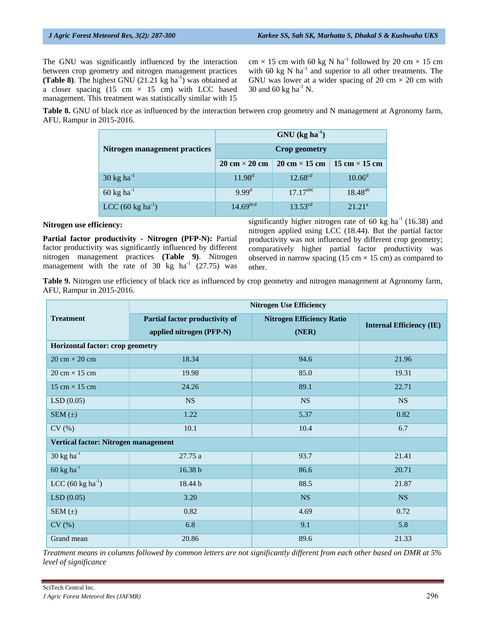The GNU was significantly influenced by the interaction between crop geometry and nitrogen management practices **(Table 8)**. The highest GNU  $(21.21 \text{ kg ha}^{-1})$  was obtained at a closer spacing (15 cm  $\times$  15 cm) with LCC based management. This treatment was statistically similar with 15 cm  $\times$  15 cm with 60 kg N ha<sup>-1</sup> followed by 20 cm  $\times$  15 cm with 60 kg N ha $^{-1}$  and superior to all other treatments. The GNU was lower at a wider spacing of 20 cm  $\times$  20 cm with 30 and 60 kg ha<sup>-1</sup> N.

**Table 8.** GNU of black rice as influenced by the interaction between crop geometry and N management at Agronomy farm, AFU, Rampur in 2015-2016.

|                                 | $GNU$ (kg ha <sup>-1</sup> )         |                                      |                      |  |  |
|---------------------------------|--------------------------------------|--------------------------------------|----------------------|--|--|
| Nitrogen management practices   | <b>Crop geometry</b>                 |                                      |                      |  |  |
|                                 | $20 \text{ cm} \times 20 \text{ cm}$ | $20 \text{ cm} \times 15 \text{ cm}$ | 15 cm $\times$ 15 cm |  |  |
| $30 \text{ kg} \text{ ha}^{-1}$ | $11.98^d$                            | $12.68^{cd}$                         | $10.06^d$            |  |  |
| 60 kg ha $^{-1}$                | 9.99 <sup>d</sup>                    | $17.17^{abc}$                        | $18.48^{ab}$         |  |  |
| $LCC (60 kg ha^{-1})$           | 14.69 <sup>bcd</sup>                 | $13.53^{cd}$                         | 21.21 <sup>a</sup>   |  |  |

#### **Nitrogen use efficiency:**

**Partial factor productivity - Nitrogen (PFP-N):** Partial factor productivity was significantly influenced by different nitrogen management practices **(Table 9)**. Nitrogen management with the rate of 30 kg  $ha^{-1}$  (27.75) was significantly higher nitrogen rate of 60 kg ha<sup>-1</sup> (16.38) and nitrogen applied using LCC (18.44). But the partial factor productivity was not influenced by different crop geometry; comparatively higher partial factor productivity was observed in narrow spacing (15 cm  $\times$  15 cm) as compared to other.

**Table 9.** Nitrogen use efficiency of black rice as influenced by crop geometry and nitrogen management at Agronomy farm, AFU, Rampur in 2015-2016.

|                                      | <b>Nitrogen Use Efficiency</b>                             |                                           |                                 |  |  |  |
|--------------------------------------|------------------------------------------------------------|-------------------------------------------|---------------------------------|--|--|--|
| <b>Treatment</b>                     | Partial factor productivity of<br>applied nitrogen (PFP-N) | <b>Nitrogen Efficiency Ratio</b><br>(NER) | <b>Internal Efficiency (IE)</b> |  |  |  |
| Horizontal factor: crop geometry     |                                                            |                                           |                                 |  |  |  |
| $20 \text{ cm} \times 20 \text{ cm}$ | 18.34                                                      | 94.6                                      | 21.96                           |  |  |  |
| $20 \text{ cm} \times 15 \text{ cm}$ | 19.98                                                      | 85.0                                      | 19.31                           |  |  |  |
| 15 cm $\times$ 15 cm                 | 24.26                                                      | 89.1                                      | 22.71                           |  |  |  |
| LSD(0.05)                            | <b>NS</b>                                                  | <b>NS</b>                                 | <b>NS</b>                       |  |  |  |
| SEM $(\pm)$                          | 1.22                                                       | 5.37                                      | 0.82                            |  |  |  |
| CV(%)                                | 10.1                                                       | 10.4                                      | 6.7                             |  |  |  |
| Vertical factor: Nitrogen management |                                                            |                                           |                                 |  |  |  |
| $30 \text{ kg} \text{ ha}^{-1}$      | 27.75 a                                                    | 93.7                                      | 21.41                           |  |  |  |
| $60 \text{ kg ha}^{-1}$              | 16.38 b                                                    | 86.6                                      | 20.71                           |  |  |  |
| LCC $(60 \text{ kg ha}^{-1})$        | 18.44 b                                                    | 88.5                                      | 21.87                           |  |  |  |
| LSD(0.05)                            | 3.20                                                       | <b>NS</b>                                 | <b>NS</b>                       |  |  |  |
| SEM $(\pm)$                          | 0.82                                                       | 4.69                                      | 0.72                            |  |  |  |
| CV(%)                                | 6.8                                                        | 9.1                                       | 5.8                             |  |  |  |
| Grand mean                           | 20.86                                                      | 89.6                                      | 21.33                           |  |  |  |

*Treatment means in columns followed by common letters are not significantly different from each other based on DMR at 5% level of significance*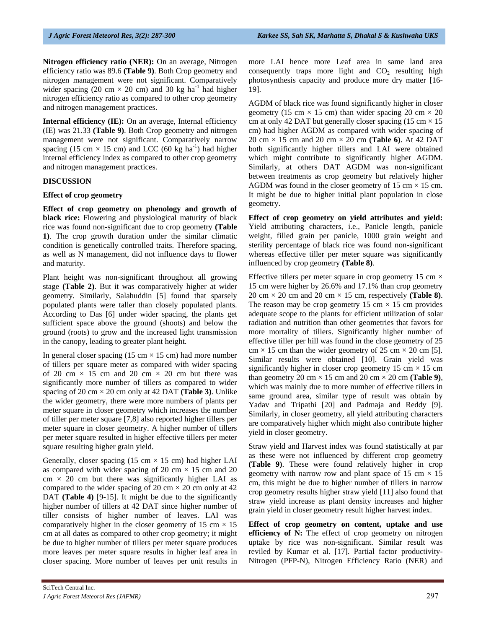**Nitrogen efficiency ratio (NER):** On an average, Nitrogen efficiency ratio was 89.6 **(Table 9)**. Both Crop geometry and nitrogen management were not significant. Comparatively wider spacing (20 cm  $\times$  20 cm) and 30 kg ha<sup>-1</sup> had higher nitrogen efficiency ratio as compared to other crop geometry and nitrogen management practices.

**Internal efficiency (IE):** On an average, Internal efficiency (IE) was 21.33 **(Table 9)**. Both Crop geometry and nitrogen management were not significant. Comparatively narrow spacing (15 cm  $\times$  15 cm) and LCC (60 kg ha<sup>-1</sup>) had higher internal efficiency index as compared to other crop geometry and nitrogen management practices.

#### **DISCUSSION**

#### **Effect of crop geometry**

**Effect of crop geometry on phenology and growth of black rice:** Flowering and physiological maturity of black rice was found non-significant due to crop geometry **(Table 1)**. The crop growth duration under the similar climatic condition is genetically controlled traits. Therefore spacing, as well as N management, did not influence days to flower and maturity.

Plant height was non-significant throughout all growing stage **(Table 2)**. But it was comparatively higher at wider geometry. Similarly, Salahuddin [5] found that sparsely populated plants were taller than closely populated plants. According to Das [6] under wider spacing, the plants get sufficient space above the ground (shoots) and below the ground (roots) to grow and the increased light transmission in the canopy, leading to greater plant height.

In general closer spacing (15 cm  $\times$  15 cm) had more number of tillers per square meter as compared with wider spacing of 20 cm  $\times$  15 cm and 20 cm  $\times$  20 cm but there was significantly more number of tillers as compared to wider spacing of 20 cm  $\times$  20 cm only at 42 DAT (**Table 3**). Unlike the wider geometry, there were more numbers of plants per meter square in closer geometry which increases the number of tiller per meter square [7,8] also reported higher tillers per meter square in closer geometry. A higher number of tillers per meter square resulted in higher effective tillers per meter square resulting higher grain yield.

Generally, closer spacing (15 cm  $\times$  15 cm) had higher LAI as compared with wider spacing of 20 cm  $\times$  15 cm and 20  $cm \times 20$  cm but there was significantly higher LAI as compared to the wider spacing of 20 cm  $\times$  20 cm only at 42 DAT **(Table 4)** [9-15]. It might be due to the significantly higher number of tillers at 42 DAT since higher number of tiller consists of higher number of leaves. LAI was comparatively higher in the closer geometry of 15 cm  $\times$  15 cm at all dates as compared to other crop geometry; it might be due to higher number of tillers per meter square produces more leaves per meter square results in higher leaf area in closer spacing. More number of leaves per unit results in more LAI hence more Leaf area in same land area consequently traps more light and  $CO<sub>2</sub>$  resulting high photosynthesis capacity and produce more dry matter [16- 19].

AGDM of black rice was found significantly higher in closer geometry (15 cm  $\times$  15 cm) than wider spacing 20 cm  $\times$  20 cm at only 42 DAT but generally closer spacing  $(15 \text{ cm} \times 15)$ cm) had higher AGDM as compared with wider spacing of 20 cm × 15 cm and 20 cm × 20 cm **(Table 6)**. At 42 DAT both significantly higher tillers and LAI were obtained which might contribute to significantly higher AGDM. Similarly, at others DAT AGDM was non-significant between treatments as crop geometry but relatively higher AGDM was found in the closer geometry of 15 cm  $\times$  15 cm. It might be due to higher initial plant population in close geometry.

**Effect of crop geometry on yield attributes and yield:**  Yield attributing characters, i.e., Panicle length, panicle weight, filled grain per panicle, 1000 grain weight and sterility percentage of black rice was found non-significant whereas effective tiller per meter square was significantly influenced by crop geometry **(Table 8)**.

Effective tillers per meter square in crop geometry 15 cm  $\times$ 15 cm were higher by 26.6% and 17.1% than crop geometry 20 cm  $\times$  20 cm and 20 cm  $\times$  15 cm, respectively (**Table 8**). The reason may be crop geometry 15 cm  $\times$  15 cm provides adequate scope to the plants for efficient utilization of solar radiation and nutrition than other geometries that favors for more mortality of tillers. Significantly higher number of effective tiller per hill was found in the close geometry of 25  $cm \times 15$  cm than the wider geometry of 25 cm  $\times$  20 cm [5]. Similar results were obtained [10]. Grain yield was significantly higher in closer crop geometry 15 cm  $\times$  15 cm than geometry 20 cm  $\times$  15 cm and 20 cm  $\times$  20 cm (**Table 9**), which was mainly due to more number of effective tillers in same ground area, similar type of result was obtain by Yadav and Tripathi [20] and Padmaja and Reddy [9]. Similarly, in closer geometry, all yield attributing characters are comparatively higher which might also contribute higher yield in closer geometry.

Straw yield and Harvest index was found statistically at par as these were not influenced by different crop geometry **(Table 9)**. These were found relatively higher in crop geometry with narrow row and plant space of 15 cm  $\times$  15 cm, this might be due to higher number of tillers in narrow crop geometry results higher straw yield [11] also found that straw yield increase as plant density increases and higher grain yield in closer geometry result higher harvest index.

**Effect of crop geometry on content, uptake and use efficiency of N:** The effect of crop geometry on nitrogen uptake by rice was non-significant. Similar result was reviled by Kumar et al. [17]. Partial factor productivity-Nitrogen (PFP-N), Nitrogen Efficiency Ratio (NER) and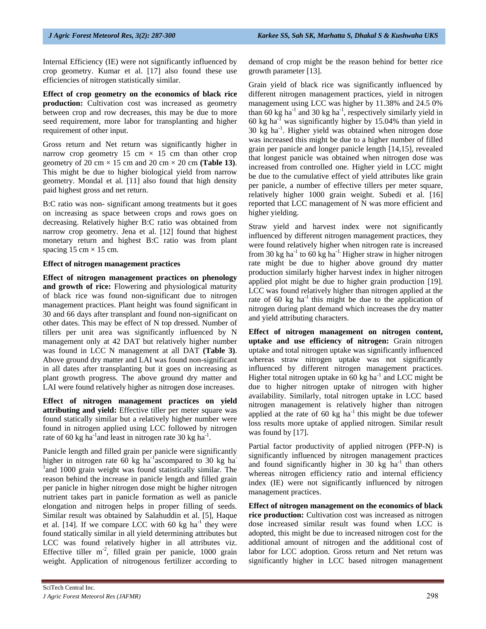Internal Efficiency (IE) were not significantly influenced by crop geometry. Kumar et al. [17] also found these use efficiencies of nitrogen statistically similar.

**Effect of crop geometry on the economics of black rice production:** Cultivation cost was increased as geometry between crop and row decreases, this may be due to more seed requirement, more labor for transplanting and higher requirement of other input.

Gross return and Net return was significantly higher in narrow crop geometry 15 cm  $\times$  15 cm than other crop geometry of 20 cm  $\times$  15 cm and 20 cm  $\times$  20 cm (**Table 13**). This might be due to higher biological yield from narrow geometry. Mondal et al. [11] also found that high density paid highest gross and net return.

B:C ratio was non- significant among treatments but it goes on increasing as space between crops and rows goes on decreasing. Relatively higher B:C ratio was obtained from narrow crop geometry. Jena et al. [12] found that highest monetary return and highest B:C ratio was from plant spacing  $15 \text{ cm} \times 15 \text{ cm}$ .

#### **Effect of nitrogen management practices**

**Effect of nitrogen management practices on phenology and growth of rice:** Flowering and physiological maturity of black rice was found non-significant due to nitrogen management practices. Plant height was found significant in 30 and 66 days after transplant and found non-significant on other dates. This may be effect of N top dressed. Number of tillers per unit area was significantly influenced by N management only at 42 DAT but relatively higher number was found in LCC N management at all DAT **(Table 3)**. Above ground dry matter and LAI was found non-significant in all dates after transplanting but it goes on increasing as plant growth progress. The above ground dry matter and LAI were found relatively higher as nitrogen dose increases.

**Effect of nitrogen management practices on yield attributing and yield:** Effective tiller per meter square was found statically similar but a relatively higher number were found in nitrogen applied using LCC followed by nitrogen rate of 60 kg ha<sup>-1</sup> and least in nitrogen rate 30 kg ha<sup>-1</sup>.

Panicle length and filled grain per panicle were significantly higher in nitrogen rate 60 kg ha<sup>-1</sup>ascompared to 30 kg ha<sup>-1</sup> <sup>1</sup> and 1000 grain weight was found statistically similar. The reason behind the increase in panicle length and filled grain per panicle in higher nitrogen dose might be higher nitrogen nutrient takes part in panicle formation as well as panicle elongation and nitrogen helps in proper filling of seeds. Similar result was obtained by Salahuddin et al. [5], Haque et al. [14]. If we compare LCC with 60 kg ha<sup>-1</sup> they were found statically similar in all yield determining attributes but LCC was found relatively higher in all attributes viz. Effective tiller  $m<sup>-2</sup>$ , filled grain per panicle, 1000 grain weight. Application of nitrogenous fertilizer according to

demand of crop might be the reason behind for better rice growth parameter [13].

Grain yield of black rice was significantly influenced by different nitrogen management practices, yield in nitrogen management using LCC was higher by 11.38% and 24.5 0% than 60 kg ha<sup>-1</sup> and 30 kg ha<sup>-1</sup>, respectively similarly yield in 60 kg ha<sup>-1</sup> was significantly higher by  $15.04\%$  than yield in  $30 \text{ kg}$  ha<sup>-1</sup>. Higher yield was obtained when nitrogen dose was increased this might be due to a higher number of filled grain per panicle and longer panicle length [14,15], revealed that longest panicle was obtained when nitrogen dose was increased from controlled one. Higher yield in LCC might be due to the cumulative effect of yield attributes like grain per panicle, a number of effective tillers per meter square, relatively higher 1000 grain weight. Subedi et al. [16] reported that LCC management of N was more efficient and higher yielding.

Straw yield and harvest index were not significantly influenced by different nitrogen management practices, they were found relatively higher when nitrogen rate is increased from 30 kg ha<sup>-1</sup> to 60 kg ha<sup>-1.</sup> Higher straw in higher nitrogen rate might be due to higher above ground dry matter production similarly higher harvest index in higher nitrogen applied plot might be due to higher grain production [19]. LCC was found relatively higher than nitrogen applied at the rate of 60 kg ha $^{-1}$  this might be due to the application of nitrogen during plant demand which increases the dry matter and yield attributing characters.

**Effect of nitrogen management on nitrogen content, uptake and use efficiency of nitrogen:** Grain nitrogen uptake and total nitrogen uptake was significantly influenced whereas straw nitrogen uptake was not significantly influenced by different nitrogen management practices. Higher total nitrogen uptake in  $60 \text{ kg ha}^{-1}$  and LCC might be due to higher nitrogen uptake of nitrogen with higher availability. Similarly, total nitrogen uptake in LCC based nitrogen management is relatively higher than nitrogen applied at the rate of 60 kg  $ha^{-1}$  this might be due to fewer loss results more uptake of applied nitrogen. Similar result was found by [17].

Partial factor productivity of applied nitrogen (PFP-N) is significantly influenced by nitrogen management practices and found significantly higher in 30 kg  $ha^{-1}$  than others whereas nitrogen efficiency ratio and internal efficiency index (IE) were not significantly influenced by nitrogen management practices.

**Effect of nitrogen management on the economics of black**  rice production: Cultivation cost was increased as nitrogen dose increased similar result was found when LCC is adopted, this might be due to increased nitrogen cost for the additional amount of nitrogen and the additional cost of labor for LCC adoption. Gross return and Net return was significantly higher in LCC based nitrogen management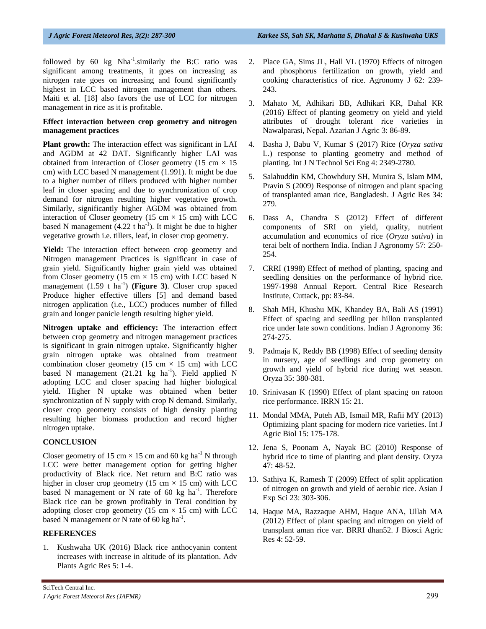followed by  $60 \text{ kg}$  Nha<sup>-1</sup>.similarly the B:C ratio was significant among treatments, it goes on increasing as nitrogen rate goes on increasing and found significantly highest in LCC based nitrogen management than others. Maiti et al. [18] also favors the use of LCC for nitrogen management in rice as it is profitable.

#### **Effect interaction between crop geometry and nitrogen management practices**

Plant growth: The interaction effect was significant in LAI and AGDM at 42 DAT. Significantly higher LAI was obtained from interaction of Closer geometry (15 cm  $\times$  15 cm) with LCC based N management (1.991). It might be due to a higher number of tillers produced with higher number leaf in closer spacing and due to synchronization of crop demand for nitrogen resulting higher vegetative growth. Similarly, significantly higher AGDM was obtained from interaction of Closer geometry (15 cm  $\times$  15 cm) with LCC based N management  $(4.22 \text{ t} \text{ ha}^{-1})$ . It might be due to higher vegetative growth i.e. tillers, leaf, in closer crop geometry.

Yield: The interaction effect between crop geometry and Nitrogen management Practices is significant in case of grain yield. Significantly higher grain yield was obtained from Closer geometry (15 cm  $\times$  15 cm) with LCC based N management (1.59 t ha<sup>-1</sup>) (**Figure 3**). Closer crop spaced Produce higher effective tillers [5] and demand based nitrogen application (i.e., LCC) produces number of filled grain and longer panicle length resulting higher yield.

**Nitrogen uptake and efficiency:** The interaction effect between crop geometry and nitrogen management practices is significant in grain nitrogen uptake. Significantly higher grain nitrogen uptake was obtained from treatment combination closer geometry (15 cm  $\times$  15 cm) with LCC based N management  $(21.21 \text{ kg} \text{ ha}^{-1})$ . Field applied N adopting LCC and closer spacing had higher biological yield. Higher N uptake was obtained when better synchronization of N supply with crop N demand. Similarly, closer crop geometry consists of high density planting resulting higher biomass production and record higher nitrogen uptake.

#### **CONCLUSION**

Closer geometry of 15 cm  $\times$  15 cm and 60 kg ha<sup>-1</sup> N through LCC were better management option for getting higher productivity of Black rice. Net return and B:C ratio was higher in closer crop geometry (15 cm  $\times$  15 cm) with LCC based N management or N rate of 60 kg  $ha^{-1}$ . Therefore Black rice can be grown profitably in Terai condition by adopting closer crop geometry (15 cm  $\times$  15 cm) with LCC based N management or N rate of 60 kg ha<sup>-1</sup>.

#### **REFERENCES**

1. Kushwaha UK (2016) Black rice anthocyanin content increases with increase in altitude of its plantation. Adv Plants Agric Res 5: 1-4.

- 2. Place GA, Sims JL, Hall VL (1970) Effects of nitrogen and phosphorus fertilization on growth, yield and cooking characteristics of rice. Agronomy J 62: 239- 243.
- 3. Mahato M, Adhikari BB, Adhikari KR, Dahal KR (2016) Effect of planting geometry on yield and yield attributes of drought tolerant rice varieties in Nawalparasi, Nepal. Azarian J Agric 3: 86-89.
- 4. Basha J, Babu V, Kumar S (2017) Rice (*Oryza sativa* L.) response to planting geometry and method of planting. Int J N Technol Sci Eng 4: 2349-2780.
- 5. Salahuddin KM, Chowhdury SH, Munira S, Islam MM, Pravin S (2009) Response of nitrogen and plant spacing of transplanted aman rice, Bangladesh. J Agric Res 34: 279.
- 6. Dass A, Chandra S (2012) Effect of different components of SRI on yield, quality, nutrient accumulation and economics of rice (*Oryza sativa*) in terai belt of northern India. Indian J Agronomy 57: 250- 254.
- 7. CRRI (1998) Effect of method of planting, spacing and seedling densities on the performance of hybrid rice. 1997-1998 Annual Report. Central Rice Research Institute, Cuttack, pp: 83-84.
- 8. Shah MH, Khushu MK, Khandey BA, Bali AS (1991) Effect of spacing and seedling per hillon transplanted rice under late sown conditions. Indian J Agronomy 36: 274-275.
- 9. Padmaja K, Reddy BB (1998) Effect of seeding density in nursery, age of seedlings and crop geometry on growth and yield of hybrid rice during wet season. Oryza 35: 380-381.
- 10. Srinivasan K (1990) Effect of plant spacing on ratoon rice performance. IRRN 15: 21.
- 11. Mondal MMA, Puteh AB, Ismail MR, Rafii MY (2013) Optimizing plant spacing for modern rice varieties. Int J Agric Biol 15: 175-178.
- 12. Jena S, Poonam A, Nayak BC (2010) Response of hybrid rice to time of planting and plant density. Oryza 47: 48-52.
- 13. Sathiya K, Ramesh T (2009) Effect of split application of nitrogen on growth and yield of aerobic rice. Asian J Exp Sci 23: 303-306.
- 14. Haque MA, Razzaque AHM, Haque ANA, Ullah MA (2012) Effect of plant spacing and nitrogen on yield of transplant aman rice var. BRRI dhan52. J Biosci Agric Res 4: 52-59.